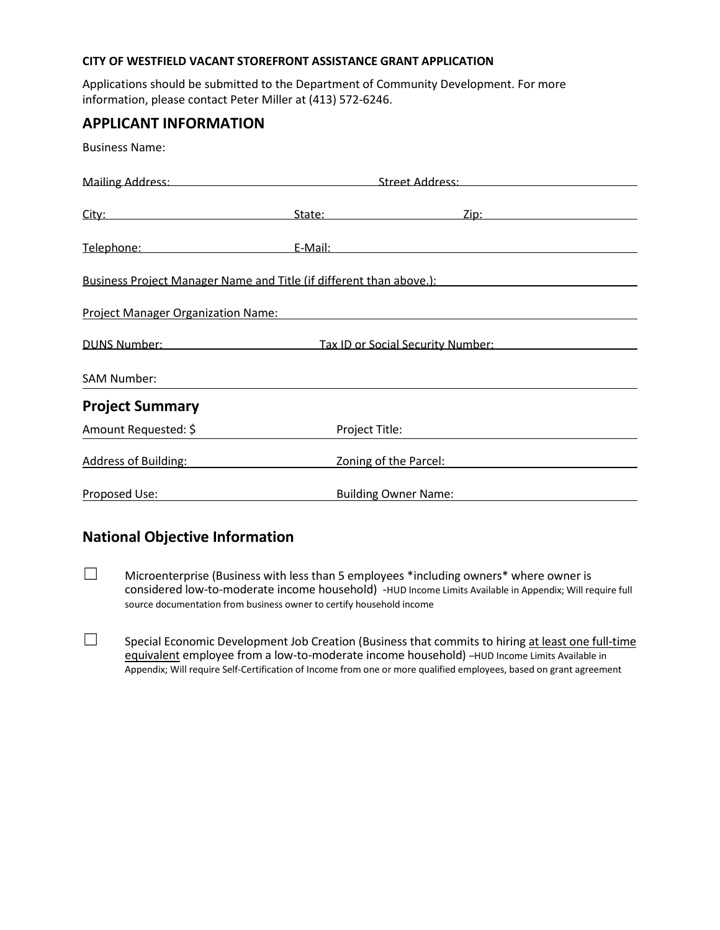#### **CITY OF WESTFIELD VACANT STOREFRONT ASSISTANCE GRANT APPLICATION**

Applications should be submitted to the Department of Community Development. For more information, please contact Peter Miller at (413) 572-6246.

### **APPLICANT INFORMATION**

Business Name:

|                                                                                                                                                                                                                                     | Mailing Address: Street Address: Street Address: Street Address: Street Address: Street Address: Street Address: Street Address: Street Address: Street Address: Street Address: Street Address: Street Address: Street Addres |  |  |
|-------------------------------------------------------------------------------------------------------------------------------------------------------------------------------------------------------------------------------------|--------------------------------------------------------------------------------------------------------------------------------------------------------------------------------------------------------------------------------|--|--|
|                                                                                                                                                                                                                                     |                                                                                                                                                                                                                                |  |  |
| City: 2008 2014 2015 2016 2017 2020 2021 2021 2022 2022 2022 2021 2022 2022 2023 2024 2022 2023 2024 2025 2026                                                                                                                      | State: <u>Zip:</u> Zip:                                                                                                                                                                                                        |  |  |
| Telephone: Telephone:                                                                                                                                                                                                               | E-Mail: E-Mail: E-Mail: E-Mail: E-Mail: E-Mail: E-Mail: E-Mail: E-Mail: E-Mail: E-Mail: E-Mail: E-Mail: E-Mail: E-Mail: E-Mail: E-Mail: E-Mail: E-Mail: E-Mail: E-Mail: E-Mail: E-Mail: E-Mail: E-Mail: E-Mail: E-Mail: E-Mail |  |  |
| Business Project Manager Name and Title (if different than above.):                                                                                                                                                                 |                                                                                                                                                                                                                                |  |  |
| <b>Project Manager Organization Name:</b> Name: Name: Name: Name: Name: Name: Name: Name: Name: Name: Name: Name: Name: Name: Name: Name: Name: Name: Name: Name: Name: Name: Name: Name: Name: Name: Name: Name: Name: Name: Name: |                                                                                                                                                                                                                                |  |  |
| DUNS Number: 2008 2010 2020                                                                                                                                                                                                         | Tax ID or Social Security Number:                                                                                                                                                                                              |  |  |
| SAM Number:                                                                                                                                                                                                                         |                                                                                                                                                                                                                                |  |  |
| <b>Project Summary</b>                                                                                                                                                                                                              |                                                                                                                                                                                                                                |  |  |
| Amount Requested: \$                                                                                                                                                                                                                | Project Title:                                                                                                                                                                                                                 |  |  |
| <b>Address of Building:</b>                                                                                                                                                                                                         | Zoning of the Parcel:                                                                                                                                                                                                          |  |  |
| Proposed Use:                                                                                                                                                                                                                       | <b>Building Owner Name:</b>                                                                                                                                                                                                    |  |  |

## **National Objective Information**

- $\square$  Microenterprise (Business with less than 5 employees \*including owners\* where owner is considered low-to-moderate income household) -HUD Income Limits Available in Appendix; Will require full source documentation from business owner to certify household income
- ☐ Special Economic Development Job Creation (Business that commits to hiring at least one full-time equivalent employee from a low-to-moderate income household) –HUD Income Limits Available in Appendix; Will require Self-Certification of Income from one or more qualified employees, based on grant agreement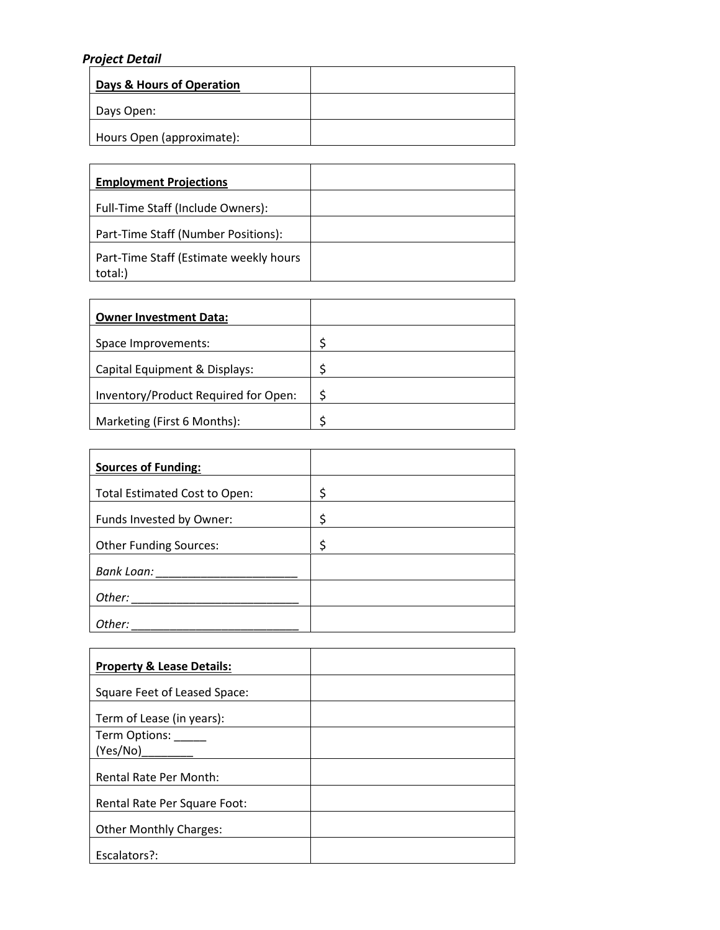### *Project Detail*

| Days & Hours of Operation |  |
|---------------------------|--|
| Days Open:                |  |
| Hours Open (approximate): |  |

| <b>Employment Projections</b>                     |  |
|---------------------------------------------------|--|
| Full-Time Staff (Include Owners):                 |  |
| Part-Time Staff (Number Positions):               |  |
| Part-Time Staff (Estimate weekly hours<br>total:) |  |

| <b>Owner Investment Data:</b>        |   |
|--------------------------------------|---|
| Space Improvements:                  |   |
| Capital Equipment & Displays:        |   |
| Inventory/Product Required for Open: | ς |
| Marketing (First 6 Months):          |   |

| <b>Sources of Funding:</b>    |    |
|-------------------------------|----|
| Total Estimated Cost to Open: | \$ |
| Funds Invested by Owner:      | \$ |
| <b>Other Funding Sources:</b> | \$ |
| <b>Bank Loan:</b>             |    |
| Other:                        |    |
| Other:                        |    |

| <b>Property &amp; Lease Details:</b> |  |
|--------------------------------------|--|
| Square Feet of Leased Space:         |  |
| Term of Lease (in years):            |  |
| Term Options: _____                  |  |
| (Yes/No)                             |  |
| <b>Rental Rate Per Month:</b>        |  |
| Rental Rate Per Square Foot:         |  |
| <b>Other Monthly Charges:</b>        |  |
| Escalators?:                         |  |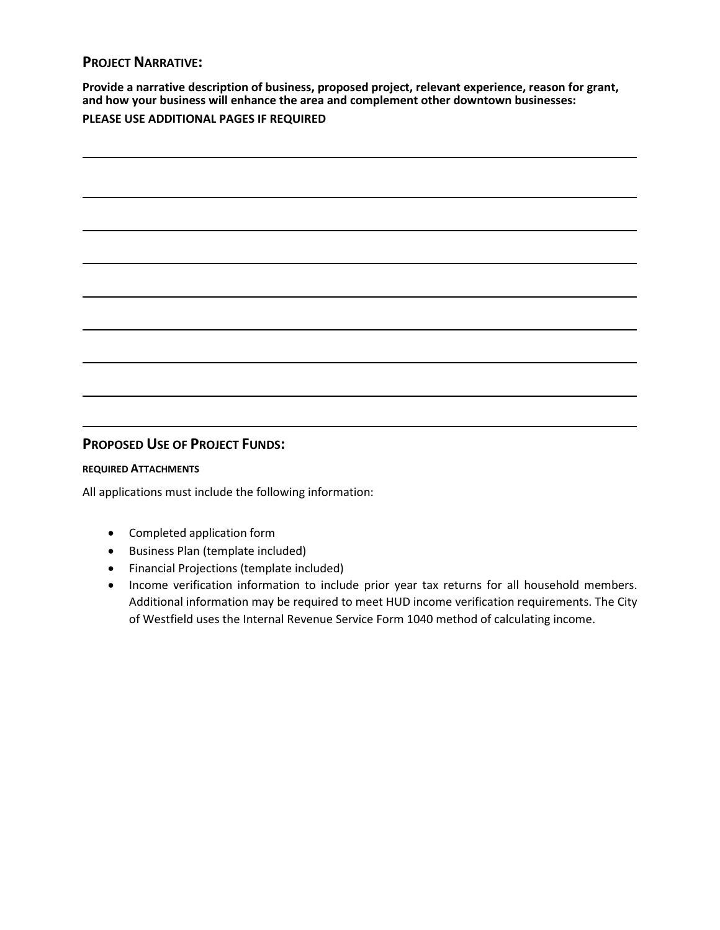### **PROJECT NARRATIVE:**

**Provide a narrative description of business, proposed project, relevant experience, reason for grant, and how your business will enhance the area and complement other downtown businesses:** 

## **PLEASE USE ADDITIONAL PAGES IF REQUIRED**

### **PROPOSED USE OF PROJECT FUNDS:**

#### **REQUIRED ATTACHMENTS**

All applications must include the following information:

- Completed application form
- Business Plan (template included)
- Financial Projections (template included)
- Income verification information to include prior year tax returns for all household members. Additional information may be required to meet HUD income verification requirements. The City of Westfield uses the Internal Revenue Service Form 1040 method of calculating income.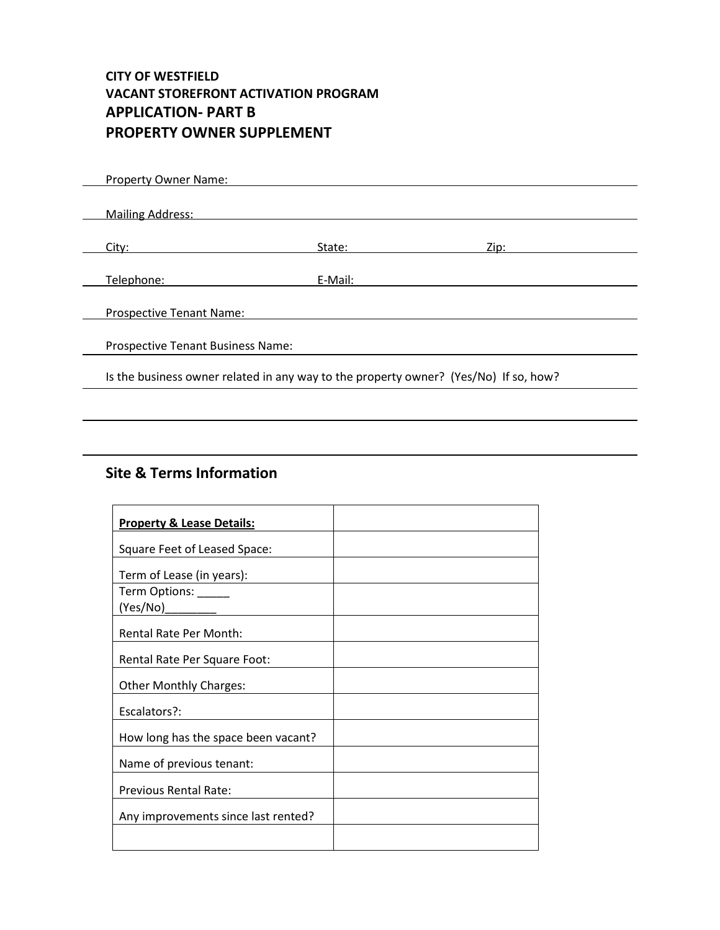## **CITY OF WESTFIELD VACANT STOREFRONT ACTIVATION PROGRAM APPLICATION- PART B PROPERTY OWNER SUPPLEMENT**

| Property Owner Name:                                                                 |         |             |
|--------------------------------------------------------------------------------------|---------|-------------|
|                                                                                      |         |             |
| <b>Mailing Address:</b>                                                              |         |             |
|                                                                                      |         |             |
| City:                                                                                | State:  | <u>Zip:</u> |
|                                                                                      |         |             |
| Telephone:                                                                           | E-Mail: |             |
|                                                                                      |         |             |
| <b>Prospective Tenant Name:</b>                                                      |         |             |
|                                                                                      |         |             |
| <b>Prospective Tenant Business Name:</b>                                             |         |             |
|                                                                                      |         |             |
| Is the business owner related in any way to the property owner? (Yes/No) If so, how? |         |             |
|                                                                                      |         |             |

## **Site & Terms Information**

| <b>Property &amp; Lease Details:</b> |  |
|--------------------------------------|--|
| Square Feet of Leased Space:         |  |
| Term of Lease (in years):            |  |
| Term Options: _____                  |  |
| (Yes/No)                             |  |
| <b>Rental Rate Per Month:</b>        |  |
| Rental Rate Per Square Foot:         |  |
| <b>Other Monthly Charges:</b>        |  |
| Escalators?:                         |  |
| How long has the space been vacant?  |  |
| Name of previous tenant:             |  |
| <b>Previous Rental Rate:</b>         |  |
| Any improvements since last rented?  |  |
|                                      |  |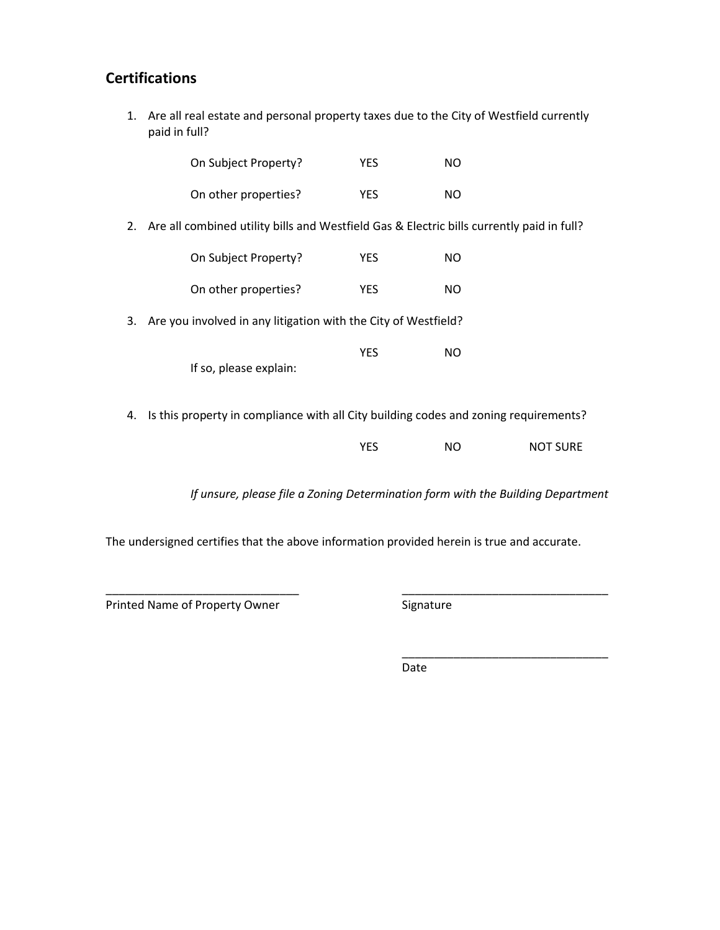## **Certifications**

1. Are all real estate and personal property taxes due to the City of Westfield currently paid in full?

|    | On Subject Property?                                                                      | <b>YES</b> | NO. |                 |
|----|-------------------------------------------------------------------------------------------|------------|-----|-----------------|
|    | On other properties?                                                                      | <b>YES</b> | NO. |                 |
| 2. | Are all combined utility bills and Westfield Gas & Electric bills currently paid in full? |            |     |                 |
|    | On Subject Property?                                                                      | <b>YES</b> | NO. |                 |
|    | On other properties?                                                                      | <b>YES</b> | NO. |                 |
| 3. | Are you involved in any litigation with the City of Westfield?                            |            |     |                 |
|    | If so, please explain:                                                                    | <b>YES</b> | NO. |                 |
| 4. | Is this property in compliance with all City building codes and zoning requirements?      |            |     |                 |
|    |                                                                                           | <b>YES</b> | NO  | <b>NOT SURE</b> |

*If unsure, please file a Zoning Determination form with the Building Department* 

The undersigned certifies that the above information provided herein is true and accurate.

\_\_\_\_\_\_\_\_\_\_\_\_\_\_\_\_\_\_\_\_\_\_\_\_\_\_\_\_\_\_ \_\_\_\_\_\_\_\_\_\_\_\_\_\_\_\_\_\_\_\_\_\_\_\_\_\_\_\_\_\_\_\_ Printed Name of Property Owner **Signature** 

\_\_\_\_\_\_\_\_\_\_\_\_\_\_\_\_\_\_\_\_\_\_\_\_\_\_\_\_\_\_\_\_

Date